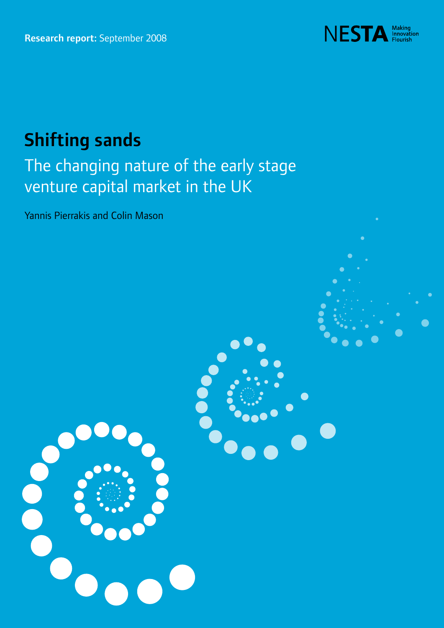

# Shifting sands

# The changing nature of the early stage venture capital market in the UK

Yannis Pierrakis and Colin Mason

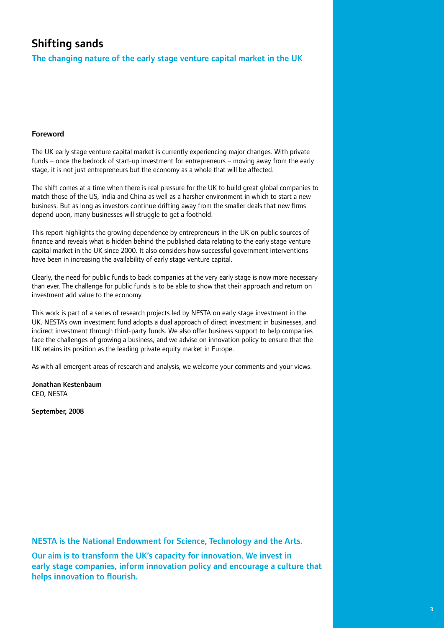# Shifting sands

The changing nature of the early stage venture capital market in the UK

## Foreword

The UK early stage venture capital market is currently experiencing major changes. With private funds – once the bedrock of start-up investment for entrepreneurs – moving away from the early stage, it is not just entrepreneurs but the economy as a whole that will be affected.

The shift comes at a time when there is real pressure for the UK to build great global companies to match those of the US, India and China as well as a harsher environment in which to start a new business. But as long as investors continue drifting away from the smaller deals that new firms depend upon, many businesses will struggle to get a foothold.

This report highlights the growing dependence by entrepreneurs in the UK on public sources of finance and reveals what is hidden behind the published data relating to the early stage venture capital market in the UK since 2000. It also considers how successful government interventions have been in increasing the availability of early stage venture capital.

Clearly, the need for public funds to back companies at the very early stage is now more necessary than ever. The challenge for public funds is to be able to show that their approach and return on investment add value to the economy.

This work is part of a series of research projects led by NESTA on early stage investment in the UK. NESTA's own investment fund adopts a dual approach of direct investment in businesses, and indirect investment through third-party funds. We also offer business support to help companies face the challenges of growing a business, and we advise on innovation policy to ensure that the UK retains its position as the leading private equity market in Europe.

As with all emergent areas of research and analysis, we welcome your comments and your views.

Jonathan Kestenbaum CEO, NESTA

September, 2008

NESTA is the National Endowment for Science, Technology and the Arts.

Our aim is to transform the UK's capacity for innovation. We invest in early stage companies, inform innovation policy and encourage a culture that helps innovation to flourish.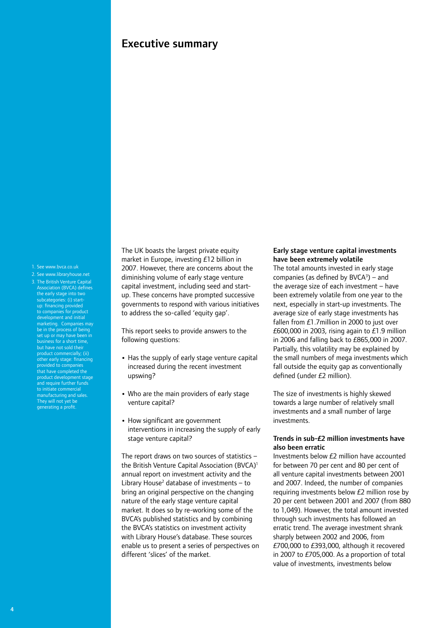# Executive summary

#### 1. See www.bvca.co.uk

- 2. See www.libraryhouse.net
- 3. The British Venture Capital Association (BVCA) defines the early stage into two subcategories: (i) startup: financing provided to companies for product development and initial marketing. Companies may be in the process of being set up or may have been in business for a short time, but have not sold their product commercially; (ii) other early stage: financing provided to companies that have completed the product development stage and require further funds to initiate commercial manufacturing and sales. They will not yet be generating a profit.

The UK boasts the largest private equity market in Europe, investing £12 billion in 2007. However, there are concerns about the diminishing volume of early stage venture capital investment, including seed and startup. These concerns have prompted successive governments to respond with various initiatives to address the so-called 'equity gap'.

This report seeks to provide answers to the following questions:

- Has the supply of early stage venture capital increased during the recent investment upswing?
- **•** Who are the main providers of early stage venture capital?
- **•** How significant are government interventions in increasing the supply of early stage venture capital?

The report draws on two sources of statistics – the British Venture Capital Association (BVCA)<sup>1</sup> annual report on investment activity and the Library House<sup>2</sup> database of investments  $-$  to bring an original perspective on the changing nature of the early stage venture capital market. It does so by re-working some of the BVCA's published statistics and by combining the BVCA's statistics on investment activity with Library House's database. These sources enable us to present a series of perspectives on different 'slices' of the market.

#### Early stage venture capital investments have been extremely volatile

The total amounts invested in early stage companies (as defined by  $BVCA<sup>3</sup>$ ) – and the average size of each investment – have been extremely volatile from one year to the next, especially in start-up investments. The average size of early stage investments has fallen from £1.7million in 2000 to just over £600,000 in 2003, rising again to £1.9 million in 2006 and falling back to £865,000 in 2007. Partially, this volatility may be explained by the small numbers of mega investments which fall outside the equity gap as conventionally defined (under £2 million).

The size of investments is highly skewed towards a large number of relatively small investments and a small number of large investments.

### Trends in sub-£2 million investments have also been erratic

Investments below £2 million have accounted for between 70 per cent and 80 per cent of all venture capital investments between 2001 and 2007. Indeed, the number of companies requiring investments below £2 million rose by 20 per cent between 2001 and 2007 (from 880 to 1,049). However, the total amount invested through such investments has followed an erratic trend. The average investment shrank sharply between 2002 and 2006, from £700,000 to £393,000, although it recovered in 2007 to £705,000. As a proportion of total value of investments, investments below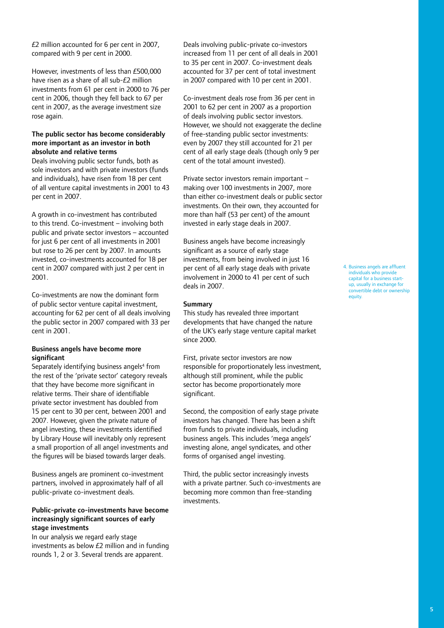£2 million accounted for 6 per cent in 2007, compared with 9 per cent in 2000.

However, investments of less than £500,000 have risen as a share of all sub-£2 million investments from 61 per cent in 2000 to 76 per cent in 2006, though they fell back to 67 per cent in 2007, as the average investment size rose again.

#### The public sector has become considerably more important as an investor in both absolute and relative terms

Deals involving public sector funds, both as sole investors and with private investors (funds and individuals), have risen from 18 per cent of all venture capital investments in 2001 to 43 per cent in 2007.

A growth in co-investment has contributed to this trend. Co-investment – involving both public and private sector investors – accounted for just 6 per cent of all investments in 2001 but rose to 26 per cent by 2007. In amounts invested, co-investments accounted for 18 per cent in 2007 compared with just 2 per cent in 2001.

Co-investments are now the dominant form of public sector venture capital investment, accounting for 62 per cent of all deals involving the public sector in 2007 compared with 33 per cent in 2001.

#### Business angels have become more significant

Separately identifying business angels<sup>4</sup> from the rest of the 'private sector' category reveals that they have become more significant in relative terms. Their share of identifiable private sector investment has doubled from 15 per cent to 30 per cent, between 2001 and 2007. However, given the private nature of angel investing, these investments identified by Library House will inevitably only represent a small proportion of all angel investments and the figures will be biased towards larger deals.

Business angels are prominent co-investment partners, involved in approximately half of all public-private co-investment deals.

#### Public-private co-investments have become increasingly significant sources of early stage investments

In our analysis we regard early stage investments as below £2 million and in funding rounds 1, 2 or 3. Several trends are apparent.

Deals involving public-private co-investors increased from 11 per cent of all deals in 2001 to 35 per cent in 2007. Co-investment deals accounted for 37 per cent of total investment in 2007 compared with 10 per cent in 2001.

Co-investment deals rose from 36 per cent in 2001 to 62 per cent in 2007 as a proportion of deals involving public sector investors. However, we should not exaggerate the decline of free-standing public sector investments: even by 2007 they still accounted for 21 per cent of all early stage deals (though only 9 per cent of the total amount invested).

Private sector investors remain important – making over 100 investments in 2007, more than either co-investment deals or public sector investments. On their own, they accounted for more than half (53 per cent) of the amount invested in early stage deals in 2007.

Business angels have become increasingly significant as a source of early stage investments, from being involved in just 16 per cent of all early stage deals with private involvement in 2000 to 41 per cent of such deals in 2007.

#### Summary

This study has revealed three important developments that have changed the nature of the UK's early stage venture capital market since 2000.

First, private sector investors are now responsible for proportionately less investment, although still prominent, while the public sector has become proportionately more significant.

Second, the composition of early stage private investors has changed. There has been a shift from funds to private individuals, including business angels. This includes 'mega angels' investing alone, angel syndicates, and other forms of organised angel investing.

Third, the public sector increasingly invests with a private partner. Such co-investments are becoming more common than free-standing investments.

4. Business angels are affluent individuals who provide capital for a business startup, usually in exchange for convertible debt or ownership equity.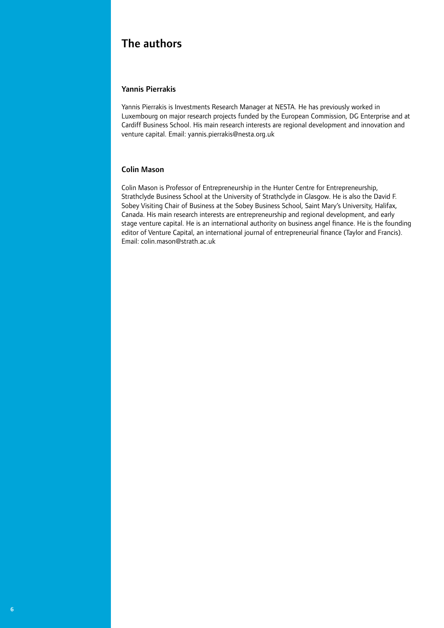# The authors

## Yannis Pierrakis

Yannis Pierrakis is Investments Research Manager at NESTA. He has previously worked in Luxembourg on major research projects funded by the European Commission, DG Enterprise and at Cardiff Business School. His main research interests are regional development and innovation and venture capital. Email: yannis.pierrakis@nesta.org.uk

#### Colin Mason

Colin Mason is Professor of Entrepreneurship in the Hunter Centre for Entrepreneurship, Strathclyde Business School at the University of Strathclyde in Glasgow. He is also the David F. Sobey Visiting Chair of Business at the Sobey Business School, Saint Mary's University, Halifax, Canada. His main research interests are entrepreneurship and regional development, and early stage venture capital. He is an international authority on business angel finance. He is the founding editor of Venture Capital, an international journal of entrepreneurial finance (Taylor and Francis). Email: colin.mason@strath.ac.uk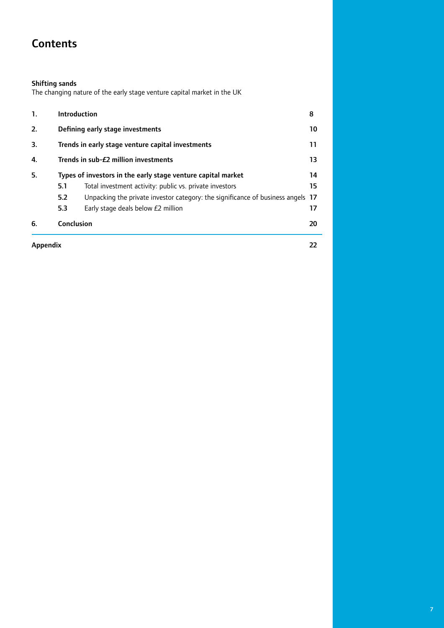# **Contents**

#### Shifting sands

The changing nature of the early stage venture capital market in the UK

| Appendix |                                                              |                                                                                 | 22 |  |  |  |  |  |
|----------|--------------------------------------------------------------|---------------------------------------------------------------------------------|----|--|--|--|--|--|
| 6.       | Conclusion                                                   |                                                                                 | 20 |  |  |  |  |  |
|          | 5.3                                                          | Early stage deals below £2 million                                              | 17 |  |  |  |  |  |
|          | 5.2                                                          | Unpacking the private investor category: the significance of business angels 17 |    |  |  |  |  |  |
|          | 5.1                                                          | Total investment activity: public vs. private investors                         | 15 |  |  |  |  |  |
| 5.       | Types of investors in the early stage venture capital market |                                                                                 |    |  |  |  |  |  |
| 4.       |                                                              | Trends in sub-£2 million investments<br>13                                      |    |  |  |  |  |  |
| 3.       |                                                              | Trends in early stage venture capital investments                               | 11 |  |  |  |  |  |
| 2.       |                                                              | Defining early stage investments                                                | 10 |  |  |  |  |  |
| 1.       |                                                              | <b>Introduction</b>                                                             | 8  |  |  |  |  |  |
|          |                                                              |                                                                                 |    |  |  |  |  |  |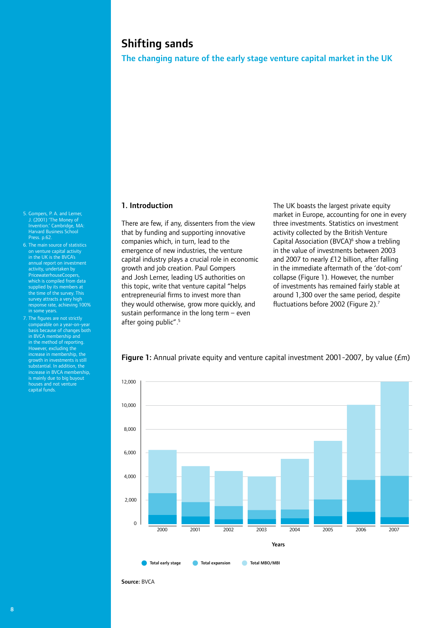# Shifting sands

The changing nature of the early stage venture capital market in the UK

#### 1. Introduction

There are few, if any, dissenters from the view that by funding and supporting innovative companies which, in turn, lead to the emergence of new industries, the venture capital industry plays a crucial role in economic growth and job creation. Paul Gompers and Josh Lerner, leading US authorities on this topic, write that venture capital "helps entrepreneurial firms to invest more than they would otherwise, grow more quickly, and sustain performance in the long term – even after going public".<sup>5</sup>

The UK boasts the largest private equity market in Europe, accounting for one in every three investments. Statistics on investment activity collected by the British Venture Capital Association (BVCA)<sup>6</sup> show a trebling in the value of investments between 2003 and 2007 to nearly £12 billion, after falling in the immediate aftermath of the 'dot-com' collapse (Figure 1). However, the number of investments has remained fairly stable at around 1,300 over the same period, despite fluctuations before 2002 (Figure 2).7



Figure 1: Annual private equity and venture capital investment 2001-2007, by value ( $Em$ )

Source: BVCA

- 5. Gompers, P. A. and Lerner, J. (2001) 'The Money of Invention.' Cambridge, MA: Harvard Business School 6. The main source of statistics
- on venture capital activity in the UK is the BVCA's annual report on investment activity, undertaken by PricewaterhouseCoopers, which is compiled from data supplied by its members at the time of the survey. This survey attracts a very high response rate, achieving 100% in some years.
- 7. The figures are not strictly comparable on a year-on-year basis because of changes both in BVCA membership and in the method of reporting. However, excluding the increase in membership, the growth in investments is still substantial. In addition, the increase in BVCA membership, is mainly due to big buyout houses and not venture capital funds.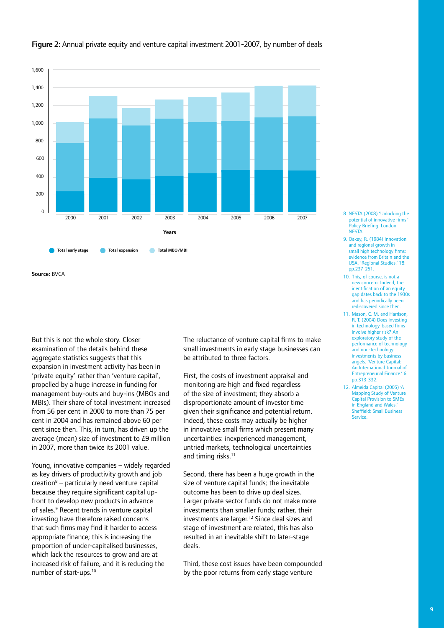

### Figure 2: Annual private equity and venture capital investment 2001-2007, by number of deals

Source: BVCA

But this is not the whole story. Closer examination of the details behind these aggregate statistics suggests that this expansion in investment activity has been in 'private equity' rather than 'venture capital', propelled by a huge increase in funding for management buy-outs and buy-ins (MBOs and MBIs). Their share of total investment increased from 56 per cent in 2000 to more than 75 per cent in 2004 and has remained above 60 per cent since then. This, in turn, has driven up the average (mean) size of investment to £9 million in 2007, more than twice its 2001 value.

Young, innovative companies – widely regarded as key drivers of productivity growth and job creation<sup>8</sup> – particularly need venture capital because they require significant capital upfront to develop new products in advance of sales.<sup>9</sup> Recent trends in venture capital investing have therefore raised concerns that such firms may find it harder to access appropriate finance; this is increasing the proportion of under-capitalised businesses, which lack the resources to grow and are at increased risk of failure, and it is reducing the number of start-ups.10

The reluctance of venture capital firms to make small investments in early stage businesses can be attributed to three factors.

First, the costs of investment appraisal and monitoring are high and fixed regardless of the size of investment; they absorb a disproportionate amount of investor time given their significance and potential return. Indeed, these costs may actually be higher in innovative small firms which present many uncertainties: inexperienced management, untried markets, technological uncertainties and timing risks.<sup>11</sup>

Second, there has been a huge growth in the size of venture capital funds; the inevitable outcome has been to drive up deal sizes. Larger private sector funds do not make more investments than smaller funds; rather, their investments are larger.12 Since deal sizes and stage of investment are related, this has also resulted in an inevitable shift to later-stage deals.

Third, these cost issues have been compounded by the poor returns from early stage venture

- 8. NESTA (2008) 'Unlocking the potential of innovative firms. .<br>Policy Briefing. London: **NESTA**
- 9. Oakey, R. (1984) Innovation and regional growth in small high technology firms evidence from Britain and the USA. 'Regional Studies.' 18: pp.237-251.
- 10. This, of course, is not a new concern. Indeed, the identification of an equity gap dates back to the 1930s and has periodically been rediscovered since then.
- 11. Mason, C. M. and Harrison, R. T. (2004) Does investing in technology-based firms involve higher risk? An exploratory study of the performance of technology and non-technology investments by business angels. 'Venture Capital: An International Journal of Entrepreneurial Finance<sup>1</sup> 6: pp.313-332.
- 12. Almeida Capital (2005) 'A Mapping Study of Venture Capital Provision to SMEs in England and Wales.' Sheffield: Small Business Service.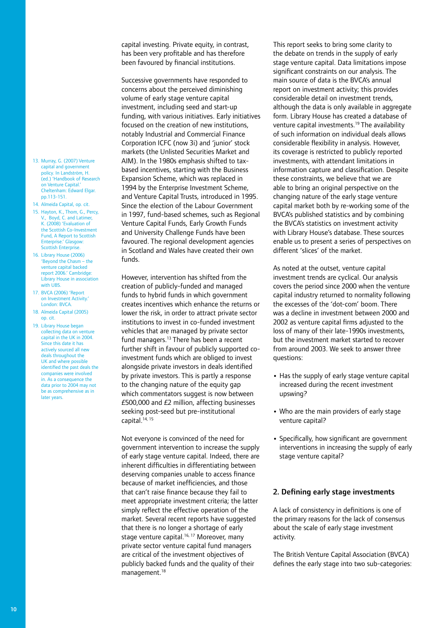capital investing. Private equity, in contrast, has been very profitable and has therefore been favoured by financial institutions.

Successive governments have responded to concerns about the perceived diminishing volume of early stage venture capital investment, including seed and start-up funding, with various initiatives. Early initiatives focused on the creation of new institutions, notably Industrial and Commercial Finance Corporation ICFC (now 3i) and 'junior' stock markets (the Unlisted Securities Market and AIM). In the 1980s emphasis shifted to taxbased incentives, starting with the Business Expansion Scheme, which was replaced in 1994 by the Enterprise Investment Scheme, and Venture Capital Trusts, introduced in 1995. Since the election of the Labour Government in 1997, fund-based schemes, such as Regional Venture Capital Funds, Early Growth Funds and University Challenge Funds have been favoured. The regional development agencies in Scotland and Wales have created their own funds.

However, intervention has shifted from the creation of publicly-funded and managed funds to hybrid funds in which government creates incentives which enhance the returns or lower the risk, in order to attract private sector institutions to invest in co-funded investment vehicles that are managed by private sector fund managers.13 There has been a recent further shift in favour of publicly supported coinvestment funds which are obliged to invest alongside private investors in deals identified by private investors. This is partly a response to the changing nature of the equity gap which commentators suggest is now between £500,000 and £2 million, affecting businesses seeking post-seed but pre-institutional capital.14, 15

Not everyone is convinced of the need for government intervention to increase the supply of early stage venture capital. Indeed, there are inherent difficulties in differentiating between deserving companies unable to access finance because of market inefficiencies, and those that can't raise finance because they fail to meet appropriate investment criteria; the latter simply reflect the effective operation of the market. Several recent reports have suggested that there is no longer a shortage of early stage venture capital.<sup>16, 17</sup> Moreover, many private sector venture capital fund managers are critical of the investment objectives of publicly backed funds and the quality of their management.18

This report seeks to bring some clarity to the debate on trends in the supply of early stage venture capital. Data limitations impose significant constraints on our analysis. The main source of data is the BVCA's annual report on investment activity; this provides considerable detail on investment trends, although the data is only available in aggregate form. Library House has created a database of venture capital investments.19 The availability of such information on individual deals allows considerable flexibility in analysis. However, its coverage is restricted to publicly reported investments, with attendant limitations in information capture and classification. Despite these constraints, we believe that we are able to bring an original perspective on the changing nature of the early stage venture capital market both by re-working some of the BVCA's published statistics and by combining the BVCA's statistics on investment activity with Library House's database. These sources enable us to present a series of perspectives on different 'slices' of the market.

As noted at the outset, venture capital investment trends are cyclical. Our analysis covers the period since 2000 when the venture capital industry returned to normality following the excesses of the 'dot-com' boom. There was a decline in investment between 2000 and 2002 as venture capital firms adjusted to the loss of many of their late-1990s investments, but the investment market started to recover from around 2003. We seek to answer three questions:

- Has the supply of early stage venture capital increased during the recent investment upswing?
- **•** Who are the main providers of early stage venture capital?
- **•** Specifically, how significant are government interventions in increasing the supply of early stage venture capital?

#### 2. Defining early stage investments

A lack of consistency in definitions is one of the primary reasons for the lack of consensus about the scale of early stage investment activity.

The British Venture Capital Association (BVCA) defines the early stage into two sub-categories:

- 13. Murray, G. (2007) Venture capital and government policy. In Landström, H. (ed.) 'Handbook of Research on Venture Capital.' Cheltenham: Edward Elgar. pp.113-151.
- 14. Almeida Capital, op. cit.
- 15. Hayton, K., Thom, G., Percy, V., Boyd, C. and Latimer, K. (2008) 'Evaluation of the Scottish Co-Investment Fund, A Report to Scottish Enterprise.' Glasgow Scottish Enterprise.
- 16. Library House (2006) 'Beyond the Chasm – the venture capital backed report 2006.' Cambridge: Library House in association with **URS**
- 17. BVCA (2006) 'Report on Investment Activity.' London: BVCA.
- 18. Almeida Capital (2005) op. cit.
- 19. Library House began collecting data on venture capital in the UK in 2004. .<br>ince this date it has actively sourced all new deals throughout the UK and where possible identified the past deals the companies were involved in. As a consequence the data prior to 2004 may not be as comprehensive as in later years.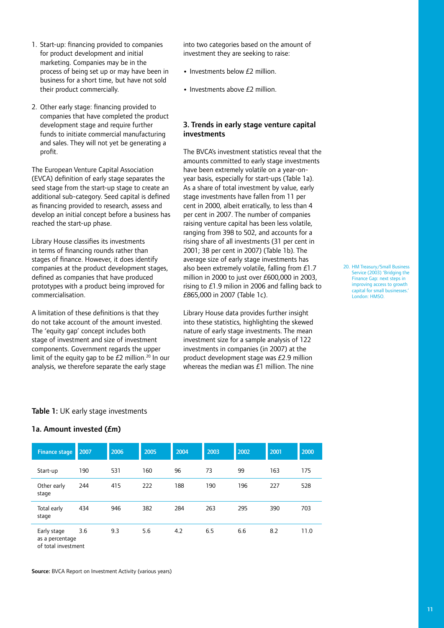marketing. Companies may be in the process of being set up or may have been in business for a short time, but have not sold their product commercially. 2. Other early stage: financing provided to

1. Start-up: financing provided to companies for product development and initial

companies that have completed the product development stage and require further funds to initiate commercial manufacturing and sales. They will not yet be generating a profit.

The European Venture Capital Association (EVCA) definition of early stage separates the seed stage from the start-up stage to create an additional sub-category. Seed capital is defined as financing provided to research, assess and develop an initial concept before a business has reached the start-up phase.

Library House classifies its investments in terms of financing rounds rather than stages of finance. However, it does identify companies at the product development stages, defined as companies that have produced prototypes with a product being improved for commercialisation.

A limitation of these definitions is that they do not take account of the amount invested. The 'equity gap' concept includes both stage of investment and size of investment components. Government regards the upper limit of the equity gap to be  $E2$  million.<sup>20</sup> In our analysis, we therefore separate the early stage

into two categories based on the amount of investment they are seeking to raise:

- Investments below  $f$ 2 million.
- Investments above £2 million.

#### 3. Trends in early stage venture capital investments

The BVCA's investment statistics reveal that the amounts committed to early stage investments have been extremely volatile on a year-onyear basis, especially for start-ups (Table 1a). As a share of total investment by value, early stage investments have fallen from 11 per cent in 2000, albeit erratically, to less than 4 per cent in 2007. The number of companies raising venture capital has been less volatile, ranging from 398 to 502, and accounts for a rising share of all investments (31 per cent in 2001; 38 per cent in 2007) (Table 1b). The average size of early stage investments has also been extremely volatile, falling from £1.7 million in 2000 to just over £600,000 in 2003, rising to £1.9 milion in 2006 and falling back to £865,000 in 2007 (Table 1c).

Library House data provides further insight into these statistics, highlighting the skewed nature of early stage investments. The mean investment size for a sample analysis of 122 investments in companies (in 2007) at the product development stage was £2.9 million whereas the median was  $f1$  million. The nine 20. HM Treasury/Small Business Service (2003) 'Bridging the Finance Gap: next steps in improving access to growth capital for small businesses.' London: HMSO.

#### Table 1: UK early stage investments

# 1a. Amount invested (£m)

| <b>Finance stage</b>           | 2007 | 2006 | 2005 | 2004 | 2003 | 2002 | 2001 | 2000 |
|--------------------------------|------|------|------|------|------|------|------|------|
| Start-up                       | 190  | 531  | 160  | 96   | 73   | 99   | 163  | 175  |
| Other early<br>stage           | 244  | 415  | 222  | 188  | 190  | 196  | 227  | 528  |
| Total early<br>stage           | 434  | 946  | 382  | 284  | 263  | 295  | 390  | 703  |
| Early stage<br>as a percentage | 3.6  | 9.3  | 5.6  | 4.2  | 6.5  | 6.6  | 8.2  | 11.0 |

of total investment

Source: BVCA Report on Investment Activity (various years)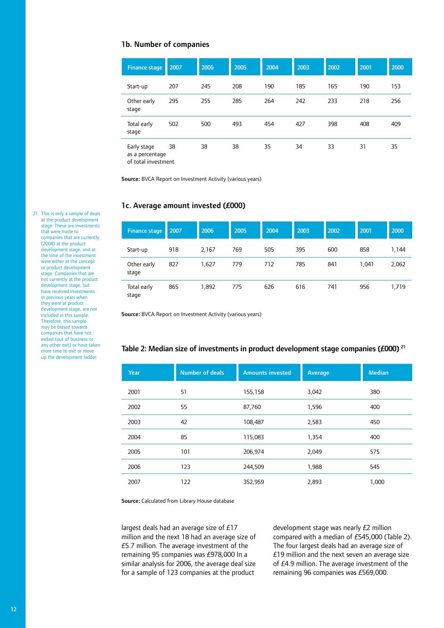#### 1b. Number of companies

| <b>Finance stage</b>           | 2007 | 2006 | 2005 | 2004 | 2003 | 2002 | 2001 | 2000 |
|--------------------------------|------|------|------|------|------|------|------|------|
| Start-up                       | 207  | 245  | 208  | 190  | 185  | 165  | 190  | 153  |
| Other early<br>stage           | 295  | 255  | 285  | 264  | 242  | 233  | 218  | 256  |
| Total early<br>stage           | 502  | 500  | 493  | 454  | 427  | 398  | 408  | 409  |
| Early stage<br>as a percentage | 38   | 38   | 38   | 35   | 34   | 33   | 31   | 35   |

of total investment

Source: BVCA Report on Investment Activity (various years)

#### 1c. Average amount invested (£000)

| <b>Finance stage</b> | 2007 | 2006  | 2005 | 2004 | 2003 | 2002 | 2001  | 2000  |
|----------------------|------|-------|------|------|------|------|-------|-------|
| Start-up             | 918  | 2,167 | 769  | 505  | 395  | 600  | 858   | 1,144 |
| Other early<br>stage | 827  | 1,627 | 779  | 712  | 785  | 841  | 1,041 | 2,062 |
| Total early<br>stage | 865  | 1,892 | 775  | 626  | 616  | 741  | 956   | 1,719 |

Source: BVCA Report on Investment Activity (various years)

#### Table 2: Median size of investments in product development stage companies (£000)<sup>21</sup>

| Year | <b>Number of deals</b> | <b>Amounts invested</b> | <b>Average</b> | <b>Median</b> |
|------|------------------------|-------------------------|----------------|---------------|
| 2001 | 51                     | 155,158                 | 3,042          | 380           |
| 2002 | 55                     | 87,760                  | 1,596          | 400           |
| 2003 | 42                     | 108,487                 | 2,583          | 450           |
| 2004 | 85                     | 115,083                 | 1,354          | 400           |
| 2005 | 101                    | 206,974                 | 2,049          | 575           |
| 2006 | 123                    | 244,509                 | 1,988          | 545           |
| 2007 | 122                    | 352,959                 | 2,893          | 1,000         |

Source: Calculated from Library House database

largest deals had an average size of £17 million and the next 18 had an average size of £5.7 million. The average investment of the remaining 95 companies was £978,000 In a similar analysis for 2006, the average deal size for a sample of 123 companies at the product

development stage was nearly £2 million compared with a median of £545,000 (Table 2). The four largest deals had an average size of £19 million and the next seven an average size of £4.9 million. The average investment of the remaining 96 companies was £569,000.

21. This is only a sample of deals at the product development stage. These are investments that were made to companies that are currently (2008) at the product development stage, and at the time of the investment were either at the concept or product development stage. Companies that are not currently at the product development stage, but have received investments in previous years when they were at product development stage, are not included in this sample. Therefore, this sample may be biased towards companies that have not exited (out of business or any other exit) or have taken more time to exit or move up the development ladder.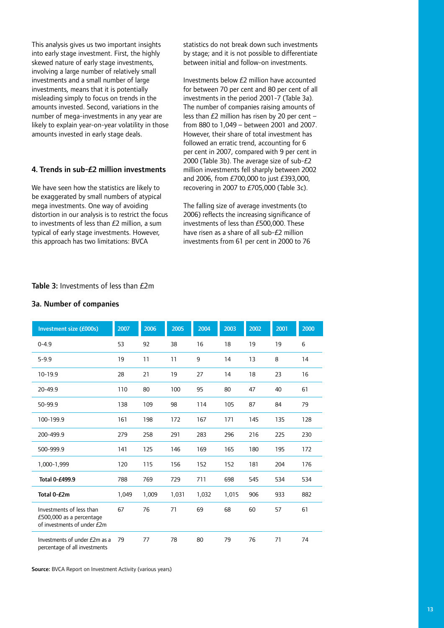This analysis gives us two important insights into early stage investment. First, the highly skewed nature of early stage investments, involving a large number of relatively small investments and a small number of large investments, means that it is potentially misleading simply to focus on trends in the amounts invested. Second, variations in the number of mega-investments in any year are likely to explain year-on-year volatility in those amounts invested in early stage deals.

#### 4. Trends in sub-£2 million investments

We have seen how the statistics are likely to be exaggerated by small numbers of atypical mega investments. One way of avoiding distortion in our analysis is to restrict the focus to investments of less than £2 million, a sum typical of early stage investments. However, this approach has two limitations: BVCA

statistics do not break down such investments by stage; and it is not possible to differentiate between initial and follow-on investments.

Investments below £2 million have accounted for between 70 per cent and 80 per cent of all investments in the period 2001-7 (Table 3a). The number of companies raising amounts of less than £2 million has risen by 20 per cent – from 880 to 1,049 – between 2001 and 2007. However, their share of total investment has followed an erratic trend, accounting for 6 per cent in 2007, compared with 9 per cent in 2000 (Table 3b). The average size of sub-£2 million investments fell sharply between 2002 and 2006, from £700,000 to just £393,000, recovering in 2007 to £705,000 (Table 3c).

The falling size of average investments (to 2006) reflects the increasing significance of investments of less than £500,000. These have risen as a share of all sub-£2 million investments from 61 per cent in 2000 to 76

#### Table 3: Investments of less than  $f2m$

#### 3a. Number of companies

| Investment size (£000s)                                                             | 2007  | 2006  | 2005  | 2004  | 2003  | 2002 | 2001 | 2000 |
|-------------------------------------------------------------------------------------|-------|-------|-------|-------|-------|------|------|------|
| $0 - 4.9$                                                                           | 53    | 92    | 38    | 16    | 18    | 19   | 19   | 6    |
| $5 - 9.9$                                                                           | 19    | 11    | 11    | 9     | 14    | 13   | 8    | 14   |
| 10-19.9                                                                             | 28    | 21    | 19    | 27    | 14    | 18   | 23   | 16   |
| 20-49.9                                                                             | 110   | 80    | 100   | 95    | 80    | 47   | 40   | 61   |
| 50-99.9                                                                             | 138   | 109   | 98    | 114   | 105   | 87   | 84   | 79   |
| 100-199.9                                                                           | 161   | 198   | 172   | 167   | 171   | 145  | 135  | 128  |
| 200-499.9                                                                           | 279   | 258   | 291   | 283   | 296   | 216  | 225  | 230  |
| 500-999.9                                                                           | 141   | 125   | 146   | 169   | 165   | 180  | 195  | 172  |
| 1,000-1,999                                                                         | 120   | 115   | 156   | 152   | 152   | 181  | 204  | 176  |
| Total 0-£499.9                                                                      | 788   | 769   | 729   | 711   | 698   | 545  | 534  | 534  |
| Total 0-£2m                                                                         | 1,049 | 1,009 | 1,031 | 1,032 | 1,015 | 906  | 933  | 882  |
| Investments of less than<br>£500,000 as a percentage<br>of investments of under £2m | 67    | 76    | 71    | 69    | 68    | 60   | 57   | 61   |
| Investments of under £2m as a<br>percentage of all investments                      | 79    | 77    | 78    | 80    | 79    | 76   | 71   | 74   |

Source: BVCA Report on Investment Activity (various years)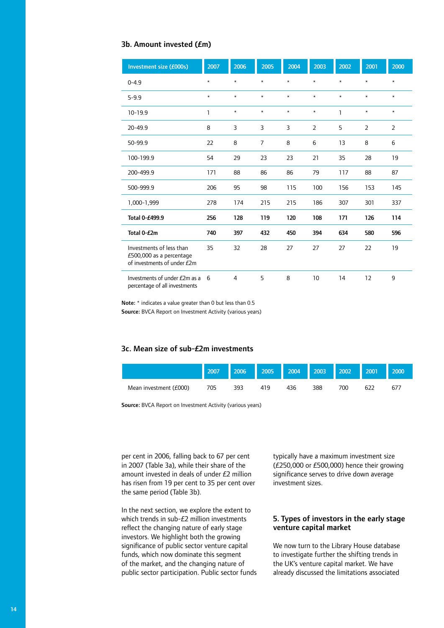#### 3b. Amount invested (£m)

| Investment size (£000s)                                                             | 2007         | 2006    | 2005           | 2004    | 2003           | 2002    | 2001           | 2000           |
|-------------------------------------------------------------------------------------|--------------|---------|----------------|---------|----------------|---------|----------------|----------------|
| $0 - 4.9$                                                                           | $\star$      | $\star$ | $\star$        | $\star$ | $\star$        | $\star$ | $\star$        | $\star$        |
| $5 - 9.9$                                                                           | $\star$      | $\star$ | $\star$        | $\star$ | $\star$        | $\star$ | $\star$        | $\star$        |
| $10-19.9$                                                                           | $\mathbf{1}$ | $\star$ | $\star$        | $\star$ | $\star$        | 1       | $\star$        | $\star$        |
| $20 - 49.9$                                                                         | 8            | 3       | 3              | 3       | $\overline{2}$ | 5       | $\overline{2}$ | $\overline{2}$ |
| 50-99.9                                                                             | 22           | 8       | $\overline{7}$ | 8       | 6              | 13      | 8              | 6              |
| 100-199.9                                                                           | 54           | 29      | 23             | 23      | 21             | 35      | 28             | 19             |
| 200-499.9                                                                           | 171          | 88      | 86             | 86      | 79             | 117     | 88             | 87             |
| 500-999.9                                                                           | 206          | 95      | 98             | 115     | 100            | 156     | 153            | 145            |
| 1,000-1,999                                                                         | 278          | 174     | 215            | 215     | 186            | 307     | 301            | 337            |
| Total 0-£499.9                                                                      | 256          | 128     | 119            | 120     | 108            | 171     | 126            | 114            |
| Total 0-£2m                                                                         | 740          | 397     | 432            | 450     | 394            | 634     | 580            | 596            |
| Investments of less than<br>£500,000 as a percentage<br>of investments of under £2m | 35           | 32      | 28             | 27      | 27             | 27      | 22             | 19             |
| Investments of under £2m as a<br>percentage of all investments                      | 6            | 4       | 5              | 8       | 10             | 14      | 12             | 9              |

Note: \* indicates a value greater than 0 but less than 0.5

Source: BVCA Report on Investment Activity (various years)

# 3c. Mean size of sub-£2m investments

|                        | 2007 | 2006 | 2005 | 2004 | 2003 | 2002 | 2001 | 2000 |
|------------------------|------|------|------|------|------|------|------|------|
| Mean investment (£000) | 705  | 393  | 419  | 436  | 388  | 700  | 622  | 677  |

Source: BVCA Report on Investment Activity (various years)

per cent in 2006, falling back to 67 per cent in 2007 (Table 3a), while their share of the amount invested in deals of under £2 million has risen from 19 per cent to 35 per cent over the same period (Table 3b).

In the next section, we explore the extent to which trends in sub-£2 million investments reflect the changing nature of early stage investors. We highlight both the growing significance of public sector venture capital funds, which now dominate this segment of the market, and the changing nature of public sector participation. Public sector funds typically have a maximum investment size (£250,000 or £500,000) hence their growing significance serves to drive down average investment sizes.

## 5. Types of investors in the early stage venture capital market

We now turn to the Library House database to investigate further the shifting trends in the UK's venture capital market. We have already discussed the limitations associated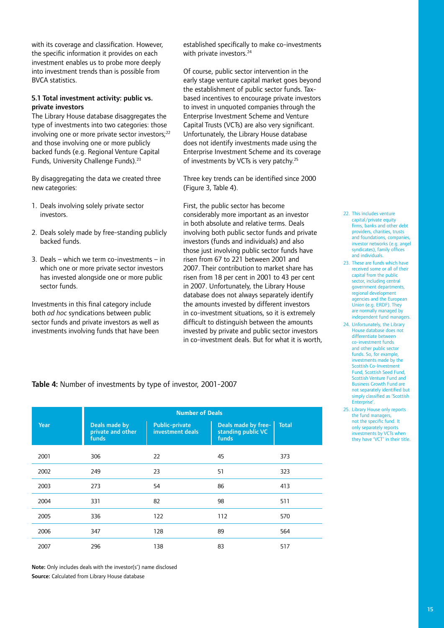with its coverage and classification. However, the specific information it provides on each investment enables us to probe more deeply into investment trends than is possible from BVCA statistics.

#### 5.1 Total investment activity: public vs. private investors

The Library House database disaggregates the type of investments into two categories: those involving one or more private sector investors;<sup>22</sup> and those involving one or more publicly backed funds (e.g. Regional Venture Capital Funds, University Challenge Funds).<sup>23</sup>

By disaggregating the data we created three new categories:

- 1. Deals involving solely private sector investors.
- 2. Deals solely made by free-standing publicly backed funds.
- 3. Deals which we term co-investments in which one or more private sector investors has invested alongside one or more public sector funds.

Investments in this final category include both *ad hoc* syndications between public sector funds and private investors as well as investments involving funds that have been

established specifically to make co-investments with private investors.<sup>24</sup>

Of course, public sector intervention in the early stage venture capital market goes beyond the establishment of public sector funds. Taxbased incentives to encourage private investors to invest in unquoted companies through the Enterprise Investment Scheme and Venture Capital Trusts (VCTs) are also very significant. Unfortunately, the Library House database does not identify investments made using the Enterprise Investment Scheme and its coverage of investments by VCTs is very patchy.<sup>25</sup>

Three key trends can be identified since 2000 (Figure 3, Table 4).

First, the public sector has become considerably more important as an investor in both absolute and relative terms. Deals involving both public sector funds and private investors (funds and individuals) and also those just involving public sector funds have risen from 67 to 221 between 2001 and 2007. Their contribution to market share has risen from 18 per cent in 2001 to 43 per cent in 2007. Unfortunately, the Library House database does not always separately identify the amounts invested by different investors in co-investment situations, so it is extremely difficult to distinguish between the amounts invested by private and public sector investors in co-investment deals. But for what it is worth,

- 22. This includes venture capital/private equity firms, banks and other debt providers, charities, trusts and foundations, companies investor networks (e.g. angel syndicates), family offices and individuals.
- 23. These are funds which have received some or all of their capital from the public sector, including central government departments, regional development agencies and the European Union (e.g. ERDF). They are normally managed by independent fund managers.
- 24. Unfortunately, the Library House database does not differentiate between co-investment funds and other public sector funds. So, for example, investments made by the Scottish Co-Investment Fund, Scottish Seed Fund, Scottish Venture Fund and Business Growth Fund are not separately identified but simply classified as 'Scottish Enterprise'.
- 25. Library House only reports the fund managers not the specific fund. It only separately reports investments by VCTs when they have 'VCT' in their title.

## Table 4: Number of investments by type of investor, 2001-2007

| Year |                                   | <b>Number of Deals</b><br><b>Public-private</b><br>Deals made by free-<br><b>Total</b><br>Deals made by |                             |     |  |  |  |  |  |  |
|------|-----------------------------------|---------------------------------------------------------------------------------------------------------|-----------------------------|-----|--|--|--|--|--|--|
|      | private and other<br><b>funds</b> | investment deals                                                                                        | standing public VC<br>funds |     |  |  |  |  |  |  |
| 2001 | 306                               | 22                                                                                                      | 45                          | 373 |  |  |  |  |  |  |
| 2002 | 249                               | 23                                                                                                      | 51                          | 323 |  |  |  |  |  |  |
| 2003 | 273                               | 54                                                                                                      | 86                          | 413 |  |  |  |  |  |  |
| 2004 | 331                               | 82                                                                                                      | 98                          | 511 |  |  |  |  |  |  |
| 2005 | 336                               | 122                                                                                                     | 112                         | 570 |  |  |  |  |  |  |
| 2006 | 347                               | 128                                                                                                     | 89                          | 564 |  |  |  |  |  |  |
| 2007 | 296                               | 138                                                                                                     | 83                          | 517 |  |  |  |  |  |  |

Note: Only includes deals with the investor(s') name disclosed Source: Calculated from Library House database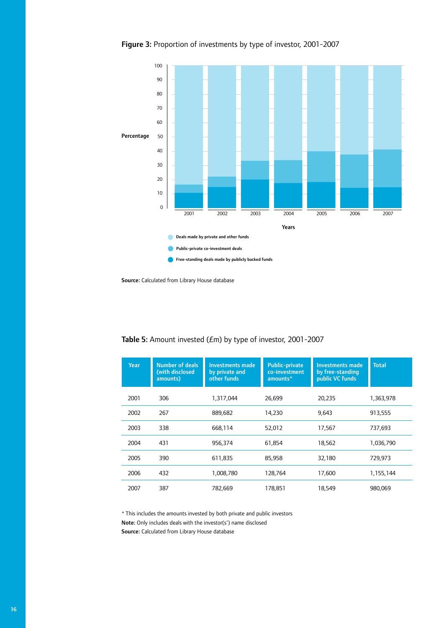Figure 3: Proportion of investments by type of investor, 2001-2007



Source: Calculated from Library House database

| <b>Year</b> | <b>Number of deals</b><br>(with disclosed<br>amounts) | <b>Investments made</b><br>by private and<br>other funds | <b>Public-private</b><br>co-investment<br>amounts* | <b>Investments made</b><br>by free-standing<br>public VC funds | <b>Total</b> |
|-------------|-------------------------------------------------------|----------------------------------------------------------|----------------------------------------------------|----------------------------------------------------------------|--------------|
| 2001        | 306                                                   | 1,317,044                                                | 26,699                                             | 20,235                                                         | 1,363,978    |
| 2002        | 267                                                   | 889,682                                                  | 14,230                                             | 9,643                                                          | 913,555      |
| 2003        | 338                                                   | 668,114                                                  | 52,012                                             | 17,567                                                         | 737,693      |
| 2004        | 431                                                   | 956,374                                                  | 61,854                                             | 18,562                                                         | 1,036,790    |
| 2005        | 390                                                   | 611,835                                                  | 85,958                                             | 32,180                                                         | 729,973      |
| 2006        | 432                                                   | 1,008,780                                                | 128,764                                            | 17,600                                                         | 1,155,144    |
| 2007        | 387                                                   | 782,669                                                  | 178,851                                            | 18,549                                                         | 980,069      |

Table 5: Amount invested (£m) by type of investor, 2001-2007

\* This includes the amounts invested by both private and public investors Note: Only includes deals with the investor(s') name disclosed Source: Calculated from Library House database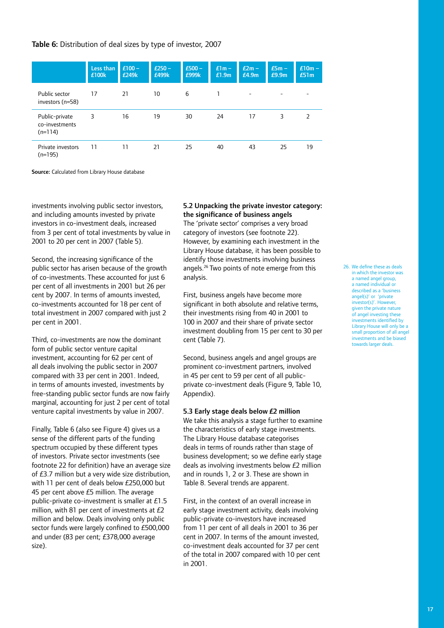## Table 6: Distribution of deal sizes by type of investor, 2007

|                                               | Less than<br>£100k | $£100-$<br>£249k | $£250-$<br>£499k | $£500 -$<br>£999k | $E1m -$<br>£1.9m | $E2m -$<br>£4.9m | $E5m -$<br>E9.9m | $£10m -$<br>£51m |
|-----------------------------------------------|--------------------|------------------|------------------|-------------------|------------------|------------------|------------------|------------------|
| Public sector<br>investors $(n=58)$           | 17                 | 21               | 10               | 6                 |                  | -                | -                |                  |
| Public-private<br>co-investments<br>$(n=114)$ | 3                  | 16               | 19               | 30                | 24               | 17               | 3                | 2                |
| Private investors<br>$(n=195)$                | 11                 | 11               | 21               | 25                | 40               | 43               | 25               | 19               |

Source: Calculated from Library House database

investments involving public sector investors, and including amounts invested by private investors in co-investment deals, increased from 3 per cent of total investments by value in 2001 to 20 per cent in 2007 (Table 5).

Second, the increasing significance of the public sector has arisen because of the growth of co-investments. These accounted for just 6 per cent of all investments in 2001 but 26 per cent by 2007. In terms of amounts invested, co-investments accounted for 18 per cent of total investment in 2007 compared with just 2 per cent in 2001.

Third, co-investments are now the dominant form of public sector venture capital investment, accounting for 62 per cent of all deals involving the public sector in 2007 compared with 33 per cent in 2001. Indeed, in terms of amounts invested, investments by free-standing public sector funds are now fairly marginal, accounting for just 2 per cent of total venture capital investments by value in 2007.

Finally, Table 6 (also see Figure 4) gives us a sense of the different parts of the funding spectrum occupied by these different types of investors. Private sector investments (see footnote 22 for definition) have an average size of £3.7 million but a very wide size distribution, with 11 per cent of deals below £250,000 but 45 per cent above £5 million. The average public-private co-investment is smaller at £1.5 million, with 81 per cent of investments at  $E2$ million and below. Deals involving only public sector funds were largely confined to £500,000 and under (83 per cent; £378,000 average size).

# 5.2 Unpacking the private investor category: the significance of business angels

The 'private sector' comprises a very broad category of investors (see footnote 22). However, by examining each investment in the Library House database, it has been possible to identify those investments involving business angels.<sup>26</sup> Two points of note emerge from this analysis.

First, business angels have become more significant in both absolute and relative terms, their investments rising from 40 in 2001 to 100 in 2007 and their share of private sector investment doubling from 15 per cent to 30 per cent (Table 7).

Second, business angels and angel groups are prominent co-investment partners, involved in 45 per cent to 59 per cent of all publicprivate co-investment deals (Figure 9, Table 10, Appendix).

#### 5.3 Early stage deals below £2 million

We take this analysis a stage further to examine the characteristics of early stage investments. The Library House database categorises deals in terms of rounds rather than stage of business development; so we define early stage deals as involving investments below £2 million and in rounds 1, 2 or 3. These are shown in Table 8. Several trends are apparent.

First, in the context of an overall increase in early stage investment activity, deals involving public-private co-investors have increased from 11 per cent of all deals in 2001 to 36 per cent in 2007. In terms of the amount invested, co-investment deals accounted for 37 per cent of the total in 2007 compared with 10 per cent in 2001.

26. We define these as deals in which the investor was a named angel group, a named individual or described as a 'business angel(s)' or 'private investor(s)'. However, given the private nature of angel investing these investments identified by Library House will only be a small proportion of all angel investments and be biased towards larger deals.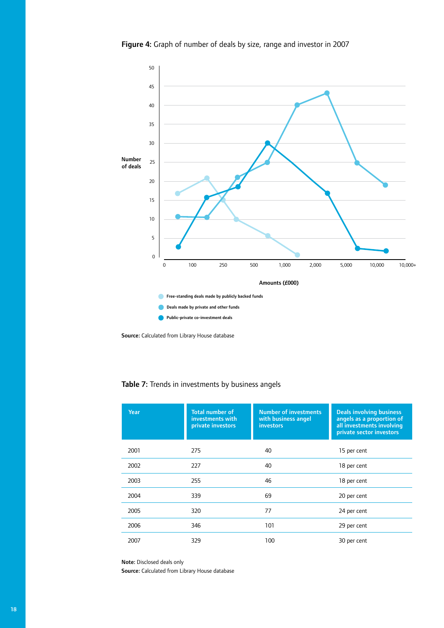Figure 4: Graph of number of deals by size, range and investor in 2007



Source: Calculated from Library House database

| Year | <b>Total number of</b><br>investments with<br>private investors | <b>Number of investments</b><br>with business angel<br><b>investors</b> | <b>Deals involving business</b><br>angels as a proportion of<br>all investments involving<br>private sector investors |
|------|-----------------------------------------------------------------|-------------------------------------------------------------------------|-----------------------------------------------------------------------------------------------------------------------|
| 2001 | 275                                                             | 40                                                                      | 15 per cent                                                                                                           |
| 2002 | 227                                                             | 40                                                                      | 18 per cent                                                                                                           |
| 2003 | 255                                                             | 46                                                                      | 18 per cent                                                                                                           |
| 2004 | 339                                                             | 69                                                                      | 20 per cent                                                                                                           |
| 2005 | 320                                                             | 77                                                                      | 24 per cent                                                                                                           |
| 2006 | 346                                                             | 101                                                                     | 29 per cent                                                                                                           |
| 2007 | 329                                                             | 100                                                                     | 30 per cent                                                                                                           |

# Table 7: Trends in investments by business angels

Note: Disclosed deals only

Source: Calculated from Library House database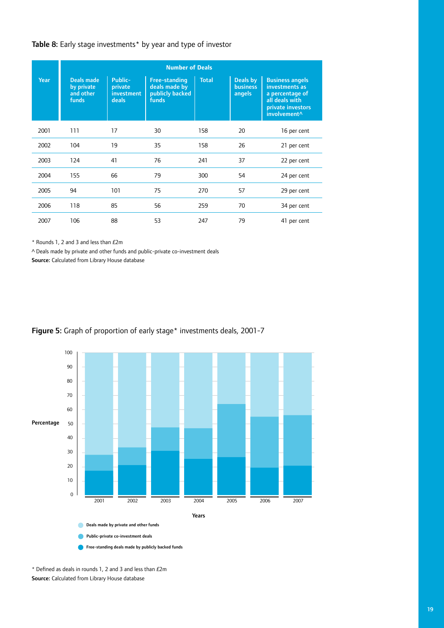## Table 8: Early stage investments\* by year and type of investor

|             | <b>Number of Deals</b>                         |                                           |                                                                          |              |                                       |                                                                                                                                |
|-------------|------------------------------------------------|-------------------------------------------|--------------------------------------------------------------------------|--------------|---------------------------------------|--------------------------------------------------------------------------------------------------------------------------------|
| <b>Year</b> | Deals made<br>by private<br>and other<br>funds | Public-<br>private<br>investment<br>deals | <b>Free-standing</b><br>deals made by<br>publicly backed<br><b>funds</b> | <b>Total</b> | Deals by<br><b>business</b><br>angels | <b>Business angels</b><br>investments as<br>a percentage of<br>all deals with<br>private investors<br>involvement <sup>^</sup> |
| 2001        | 111                                            | 17                                        | 30                                                                       | 158          | 20                                    | 16 per cent                                                                                                                    |
| 2002        | 104                                            | 19                                        | 35                                                                       | 158          | 26                                    | 21 per cent                                                                                                                    |
| 2003        | 124                                            | 41                                        | 76                                                                       | 241          | 37                                    | 22 per cent                                                                                                                    |
| 2004        | 155                                            | 66                                        | 79                                                                       | 300          | 54                                    | 24 per cent                                                                                                                    |
| 2005        | 94                                             | 101                                       | 75                                                                       | 270          | 57                                    | 29 per cent                                                                                                                    |
| 2006        | 118                                            | 85                                        | 56                                                                       | 259          | 70                                    | 34 per cent                                                                                                                    |
| 2007        | 106                                            | 88                                        | 53                                                                       | 247          | 79                                    | 41 per cent                                                                                                                    |

\* Rounds 1, 2 and 3 and less than £2m

^ Deals made by private and other funds and public-private co-investment deals

Source: Calculated from Library House database





\* Defined as deals in rounds 1, 2 and 3 and less than £2m Source: Calculated from Library House database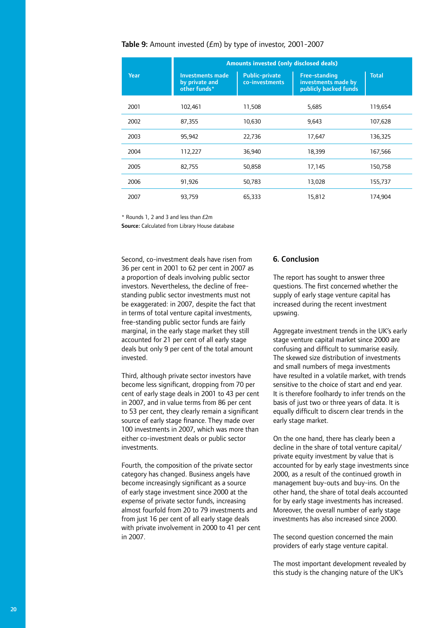## Table 9: Amount invested (£m) by type of investor, 2001-2007

|             | <b>Amounts invested (only disclosed deals)</b>            |                                         |                                                                      |              |  |  |  |
|-------------|-----------------------------------------------------------|-----------------------------------------|----------------------------------------------------------------------|--------------|--|--|--|
| <b>Year</b> | <b>Investments made</b><br>by private and<br>other funds* | <b>Public-private</b><br>co-investments | <b>Free-standing</b><br>investments made by<br>publicly backed funds | <b>Total</b> |  |  |  |
| 2001        | 102.461                                                   | 11,508                                  | 5,685                                                                | 119,654      |  |  |  |
| 2002        | 87,355                                                    | 10,630                                  | 9,643                                                                | 107,628      |  |  |  |
| 2003        | 95,942                                                    | 22,736                                  | 17,647                                                               | 136,325      |  |  |  |
| 2004        | 112,227                                                   | 36,940                                  | 18,399                                                               | 167,566      |  |  |  |
| 2005        | 82,755                                                    | 50,858                                  | 17,145                                                               | 150,758      |  |  |  |
| 2006        | 91,926                                                    | 50,783                                  | 13,028                                                               | 155,737      |  |  |  |
| 2007        | 93,759                                                    | 65,333                                  | 15,812                                                               | 174,904      |  |  |  |

\* Rounds 1, 2 and 3 and less than £2m

Source: Calculated from Library House database

Second, co-investment deals have risen from 36 per cent in 2001 to 62 per cent in 2007 as a proportion of deals involving public sector investors. Nevertheless, the decline of freestanding public sector investments must not be exaggerated: in 2007, despite the fact that in terms of total venture capital investments, free-standing public sector funds are fairly marginal, in the early stage market they still accounted for 21 per cent of all early stage deals but only 9 per cent of the total amount invested.

Third, although private sector investors have become less significant, dropping from 70 per cent of early stage deals in 2001 to 43 per cent in 2007, and in value terms from 86 per cent to 53 per cent, they clearly remain a significant source of early stage finance. They made over 100 investments in 2007, which was more than either co-investment deals or public sector investments.

Fourth, the composition of the private sector category has changed. Business angels have become increasingly significant as a source of early stage investment since 2000 at the expense of private sector funds, increasing almost fourfold from 20 to 79 investments and from just 16 per cent of all early stage deals with private involvement in 2000 to 41 per cent in 2007.

#### 6. Conclusion

The report has sought to answer three questions. The first concerned whether the supply of early stage venture capital has increased during the recent investment upswing.

Aggregate investment trends in the UK's early stage venture capital market since 2000 are confusing and difficult to summarise easily. The skewed size distribution of investments and small numbers of mega investments have resulted in a volatile market, with trends sensitive to the choice of start and end year. It is therefore foolhardy to infer trends on the basis of just two or three years of data. It is equally difficult to discern clear trends in the early stage market.

On the one hand, there has clearly been a decline in the share of total venture capital/ private equity investment by value that is accounted for by early stage investments since 2000, as a result of the continued growth in management buy-outs and buy-ins. On the other hand, the share of total deals accounted for by early stage investments has increased. Moreover, the overall number of early stage investments has also increased since 2000.

The second question concerned the main providers of early stage venture capital.

The most important development revealed by this study is the changing nature of the UK's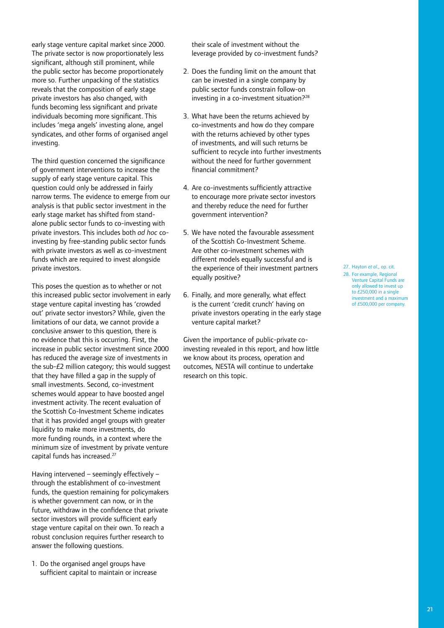early stage venture capital market since 2000. The private sector is now proportionately less significant, although still prominent, while the public sector has become proportionately more so. Further unpacking of the statistics reveals that the composition of early stage private investors has also changed, with funds becoming less significant and private individuals becoming more significant. This includes 'mega angels' investing alone, angel syndicates, and other forms of organised angel investing.

The third question concerned the significance of government interventions to increase the supply of early stage venture capital. This question could only be addressed in fairly narrow terms. The evidence to emerge from our analysis is that public sector investment in the early stage market has shifted from standalone public sector funds to co-investing with private investors. This includes both *ad hoc* coinvesting by free-standing public sector funds with private investors as well as co-investment funds which are required to invest alongside private investors.

This poses the question as to whether or not this increased public sector involvement in early stage venture capital investing has 'crowded out' private sector investors? While, given the limitations of our data, we cannot provide a conclusive answer to this question, there is no evidence that this is occurring. First, the increase in public sector investment since 2000 has reduced the average size of investments in the sub-£2 million category; this would suggest that they have filled a gap in the supply of small investments. Second, co-investment schemes would appear to have boosted angel investment activity. The recent evaluation of the Scottish Co-Investment Scheme indicates that it has provided angel groups with greater liquidity to make more investments, do more funding rounds, in a context where the minimum size of investment by private venture capital funds has increased.27

Having intervened – seemingly effectively – through the establishment of co-investment funds, the question remaining for policymakers is whether government can now, or in the future, withdraw in the confidence that private sector investors will provide sufficient early stage venture capital on their own. To reach a robust conclusion requires further research to answer the following questions.

1. Do the organised angel groups have sufficient capital to maintain or increase

their scale of investment without the leverage provided by co-investment funds?

- 2. Does the funding limit on the amount that can be invested in a single company by public sector funds constrain follow-on investing in a co-investment situation?<sup>28</sup>
- 3. What have been the returns achieved by co-investments and how do they compare with the returns achieved by other types of investments, and will such returns be sufficient to recycle into further investments without the need for further government financial commitment?
- 4. Are co-investments sufficiently attractive to encourage more private sector investors and thereby reduce the need for further government intervention?
- 5. We have noted the favourable assessment of the Scottish Co-Investment Scheme. Are other co-investment schemes with different models equally successful and is the experience of their investment partners equally positive?
- 6. Finally, and more generally, what effect is the current 'credit crunch' having on private investors operating in the early stage venture capital market?

Given the importance of public-private coinvesting revealed in this report, and how little we know about its process, operation and outcomes, NESTA will continue to undertake research on this topic.

27. Hayton *et al*., op. cit. 28. For example, Regional Venture Capital Funds are only allowed to invest up to £250,000 in a single investment and a maximum of £500,000 per company.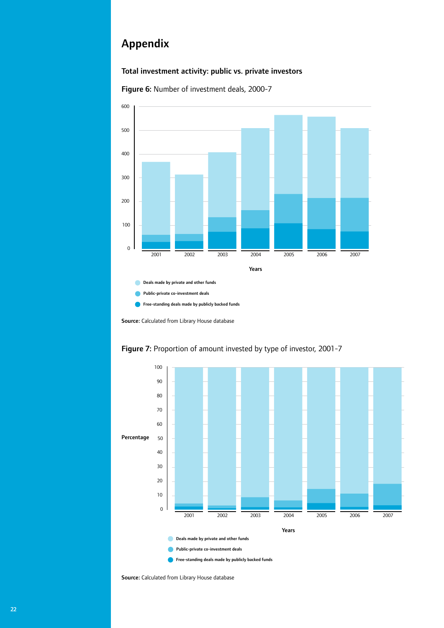# Appendix

# Total investment activity: public vs. private investors



Figure 6: Number of investment deals, 2000-7

Source: Calculated from Library House database



# Figure 7: Proportion of amount invested by type of investor, 2001-7

Source: Calculated from Library House database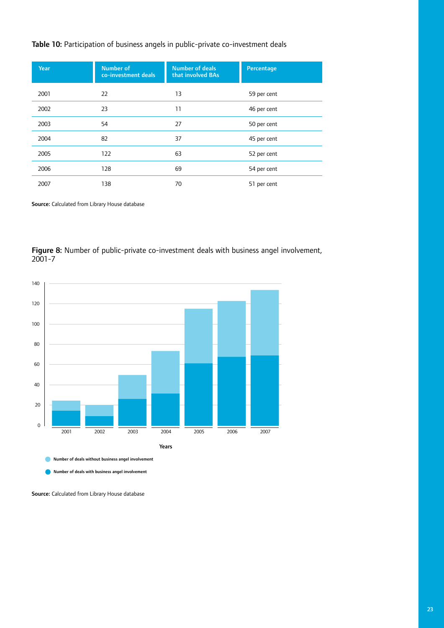# Table 10: Participation of business angels in public-private co-investment deals

| <b>Year</b> | <b>Number of</b><br>co-investment deals | <b>Number of deals</b><br>that involved BAs | Percentage  |
|-------------|-----------------------------------------|---------------------------------------------|-------------|
| 2001        | 22                                      | 13                                          | 59 per cent |
| 2002        | 23                                      | 11                                          | 46 per cent |
| 2003        | 54                                      | 27                                          | 50 per cent |
| 2004        | 82                                      | 37                                          | 45 per cent |
| 2005        | 122                                     | 63                                          | 52 per cent |
| 2006        | 128                                     | 69                                          | 54 per cent |
| 2007        | 138                                     | 70                                          | 51 per cent |

Source: Calculated from Library House database

Figure 8: Number of public-private co-investment deals with business angel involvement, 2001-7



Number of deals with business angel involvement

Source: Calculated from Library House database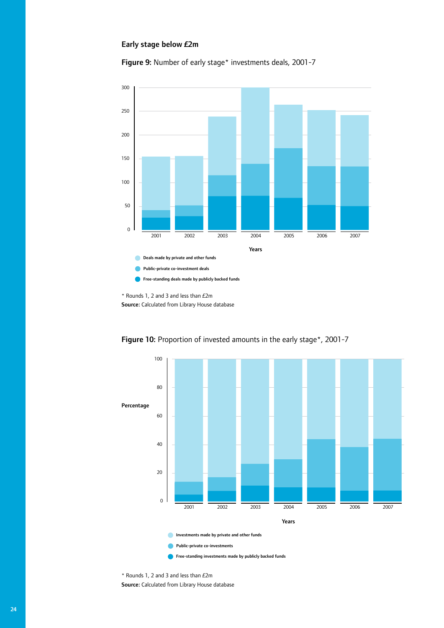#### Early stage below £2m

Figure 9: Number of early stage\* investments deals, 2001-7



\* Rounds 1, 2 and 3 and less than £2m Source: Calculated from Library House database



Figure 10: Proportion of invested amounts in the early stage\*, 2001-7

\* Rounds 1, 2 and 3 and less than £2m Source: Calculated from Library House database